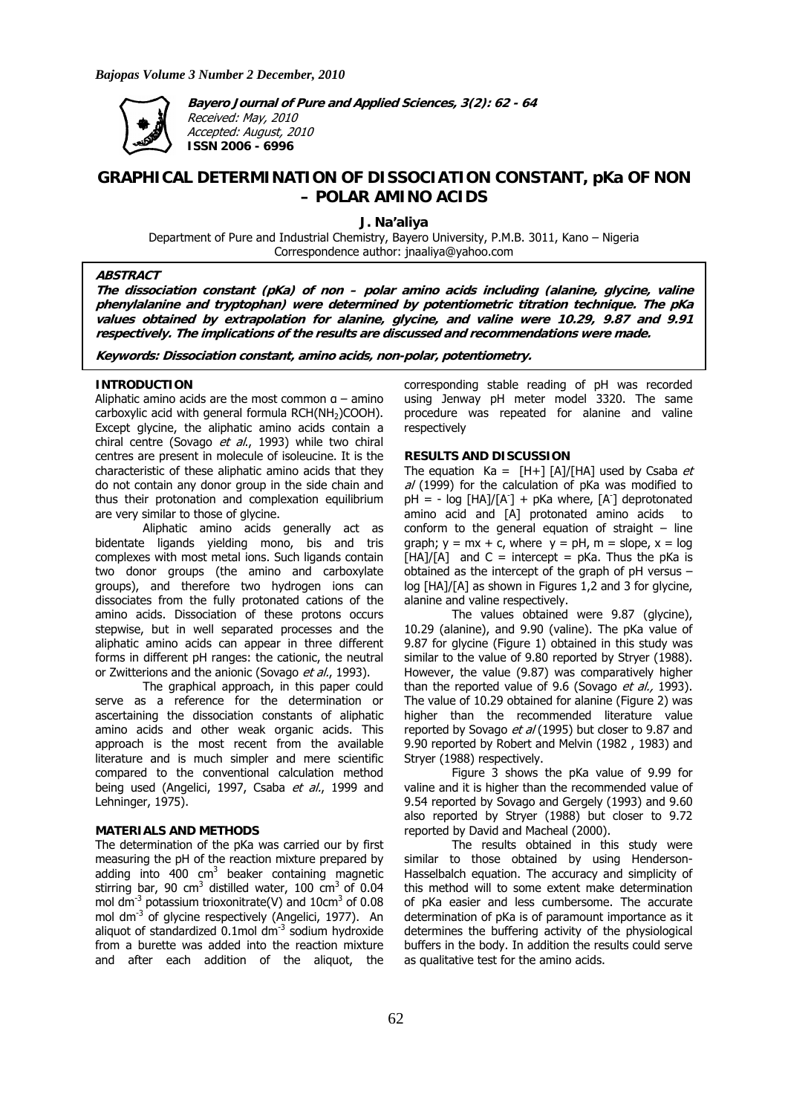

**Bayero Journal of Pure and Applied Sciences, 3(2): 62 - 64**  Received: May, 2010 Accepted: August, 2010 **ISSN 2006 - 6996** 

# **GRAPHICAL DETERMINATION OF DISSOCIATION CONSTANT, pKa OF NON – POLAR AMINO ACIDS**

**J. Na'aliya** 

Department of Pure and Industrial Chemistry, Bayero University, P.M.B. 3011, Kano – Nigeria Correspondence author: jnaaliya@yahoo.com

# **ABSTRACT**

**The dissociation constant (pKa) of non – polar amino acids including (alanine, glycine, valine phenylalanine and tryptophan) were determined by potentiometric titration technique. The pKa values obtained by extrapolation for alanine, glycine, and valine were 10.29, 9.87 and 9.91 respectively. The implications of the results are discussed and recommendations were made.** 

**Keywords: Dissociation constant, amino acids, non-polar, potentiometry.** 

#### **INTRODUCTION**

Aliphatic amino acids are the most common  $a - a$ mino carboxylic acid with general formula RCH(NH<sub>2</sub>)COOH). Except glycine, the aliphatic amino acids contain a chiral centre (Sovago et al., 1993) while two chiral centres are present in molecule of isoleucine. It is the characteristic of these aliphatic amino acids that they do not contain any donor group in the side chain and thus their protonation and complexation equilibrium are very similar to those of glycine.

Aliphatic amino acids generally act as bidentate ligands yielding mono, bis and tris complexes with most metal ions. Such ligands contain two donor groups (the amino and carboxylate groups), and therefore two hydrogen ions can dissociates from the fully protonated cations of the amino acids. Dissociation of these protons occurs stepwise, but in well separated processes and the aliphatic amino acids can appear in three different forms in different pH ranges: the cationic, the neutral or Zwitterions and the anionic (Sovago et al., 1993).

The graphical approach, in this paper could serve as a reference for the determination or ascertaining the dissociation constants of aliphatic amino acids and other weak organic acids. This approach is the most recent from the available literature and is much simpler and mere scientific compared to the conventional calculation method being used (Angelici, 1997, Csaba et al., 1999 and Lehninger, 1975).

## **MATERIALS AND METHODS**

The determination of the pKa was carried our by first measuring the pH of the reaction mixture prepared by adding into  $400 \text{ cm}^3$  beaker containing magnetic stirring bar, 90 cm<sup>3</sup> distilled water, 100 cm<sup>3</sup> of 0.04 mol dm<sup>-3</sup> potassium trioxonitrate(V) and  $10 \text{cm}^3$  of 0.08 mol dm<sup>-3</sup> of glycine respectively (Angelici, 1977). An aliquot of standardized  $0.1$ mol dm $^{-3}$  sodium hydroxide from a burette was added into the reaction mixture and after each addition of the aliquot, the

corresponding stable reading of pH was recorded using Jenway pH meter model 3320. The same procedure was repeated for alanine and valine respectively

#### **RESULTS AND DISCUSSION**

The equation  $Ka = [H+] [A]/[HA]$  used by Csaba *et*  $al$  (1999) for the calculation of pKa was modified to  $pH = -\log[HA]/[A^T] + pKa$  where,  $[A^T]$  deprotonated amino acid and [A] protonated amino acids to conform to the general equation of straight  $-$  line graph;  $y = mx + c$ , where  $y = pH$ ,  $m = slope$ ,  $x = log$  $[HA]/[A]$  and C = intercept = pKa. Thus the pKa is obtained as the intercept of the graph of pH versus – log [HA]/[A] as shown in Figures 1,2 and 3 for glycine, alanine and valine respectively.

The values obtained were 9.87 (glycine), 10.29 (alanine), and 9.90 (valine). The pKa value of 9.87 for glycine (Figure 1) obtained in this study was similar to the value of 9.80 reported by Stryer (1988). However, the value (9.87) was comparatively higher than the reported value of 9.6 (Sovago et al., 1993). The value of 10.29 obtained for alanine (Figure 2) was higher than the recommended literature value reported by Sovago et al (1995) but closer to 9.87 and 9.90 reported by Robert and Melvin (1982 , 1983) and Stryer (1988) respectively.

Figure 3 shows the pKa value of 9.99 for valine and it is higher than the recommended value of 9.54 reported by Sovago and Gergely (1993) and 9.60 also reported by Stryer (1988) but closer to 9.72 reported by David and Macheal (2000).

The results obtained in this study were similar to those obtained by using Henderson-Hasselbalch equation. The accuracy and simplicity of this method will to some extent make determination of pKa easier and less cumbersome. The accurate determination of pKa is of paramount importance as it determines the buffering activity of the physiological buffers in the body. In addition the results could serve as qualitative test for the amino acids.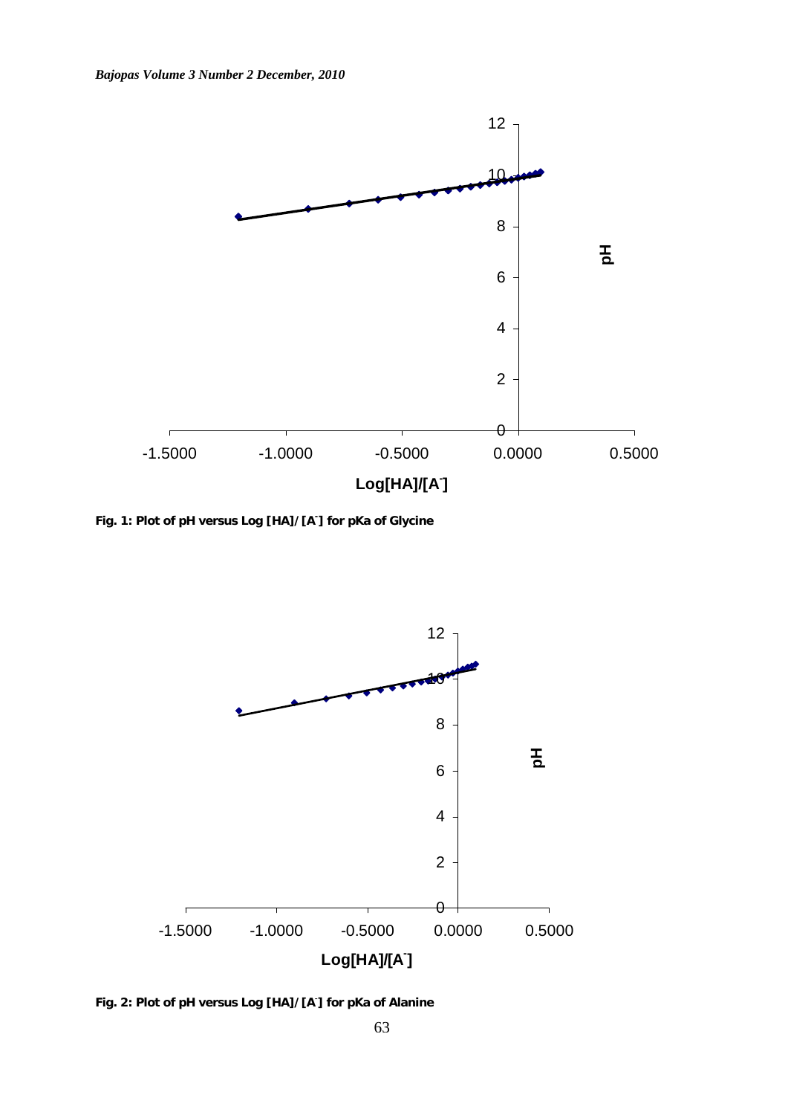

**Fig. 1: Plot of pH versus Log [HA]/[A- ] for pKa of Glycine** 



**Fig. 2: Plot of pH versus Log [HA]/[A**- **] for pKa of Alanine**